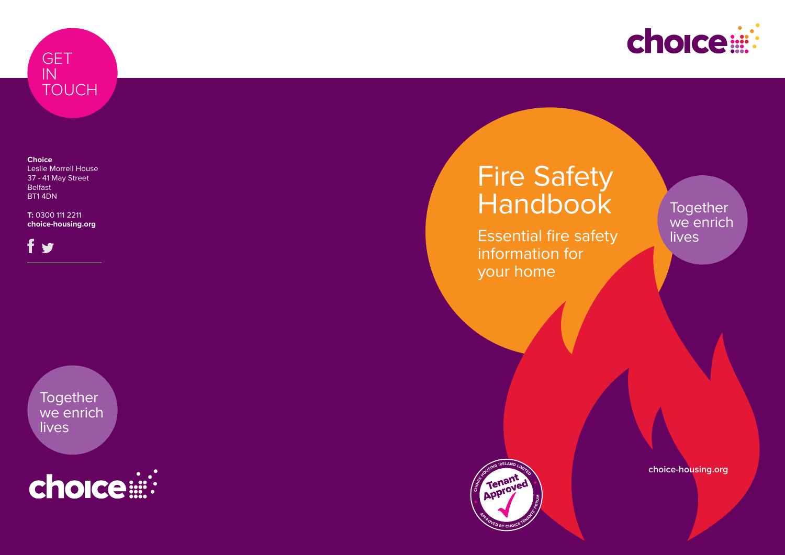

**Choice** Leslie Morrell House 37 - 41 May Street Belfast BT1 4DN

**T:** 0300 111 2211 **choice-housing.org**

S

# Fire Safety Handbook

**Together** we enrich lives



Essential fire safety information for your home







### **Together** we enrich **lives**

**choice-housing.org**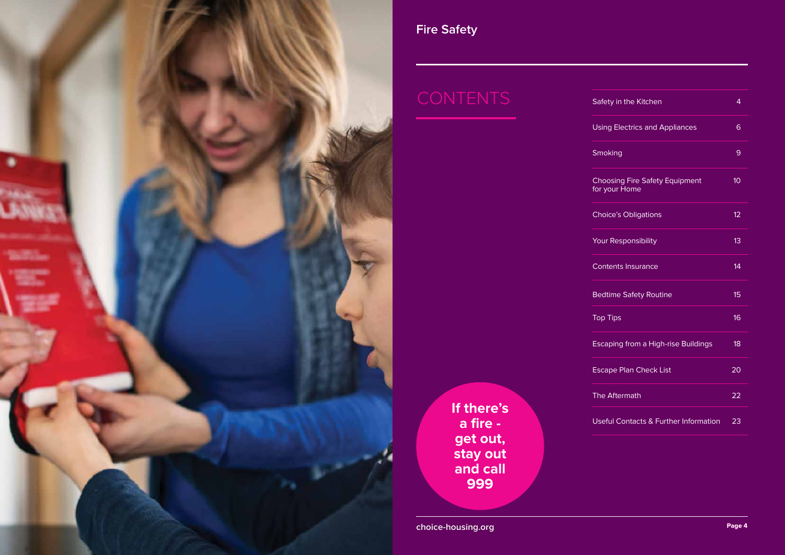

**If there's a fire get out, stay out and call 999**

**choice-housing.org Page 4** 

| Safety in the Kitchen                                  | 4               |
|--------------------------------------------------------|-----------------|
| <b>Using Electrics and Appliances</b>                  | 6               |
| Smoking                                                | 9               |
| <b>Choosing Fire Safety Equipment</b><br>for your Home | 10              |
| <b>Choice's Obligations</b>                            | 12              |
| <b>Your Responsibility</b>                             | 13              |
| <b>Contents Insurance</b>                              | 14              |
| <b>Bedtime Safety Routine</b>                          | 15              |
| <b>Top Tips</b>                                        | 16              |
| <b>Escaping from a High-rise Buildings</b>             | 18              |
| <b>Escape Plan Check List</b>                          | $\overline{20}$ |
| <b>The Aftermath</b>                                   | 22              |
| Useful Contacts & Further Information                  | 23              |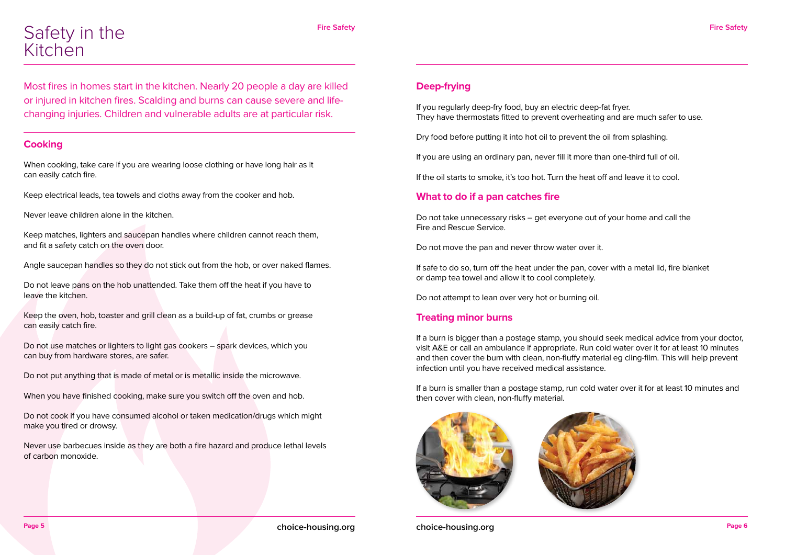

Most fires in homes start in the kitchen. Nearly 20 people a day are killed or injured in kitchen fires. Scalding and burns can cause severe and lifechanging injuries. Children and vulnerable adults are at particular risk.

#### **Cooking**

When cooking, take care if you are wearing loose clothing or have long hair as it can easily catch fire.

Keep electrical leads, tea towels and cloths away from the cooker and hob.

Never leave children alone in the kitchen.

Keep matches, lighters and saucepan handles where children cannot reach them, and fit a safety catch on the oven door.

Angle saucepan handles so they do not stick out from the hob, or over naked flames.

Do not leave pans on the hob unattended. Take them off the heat if you have to leave the kitchen.

Keep the oven, hob, toaster and grill clean as a build-up of fat, crumbs or grease can easily catch fire.

Do not use matches or lighters to light gas cookers – spark devices, which you can buy from hardware stores, are safer.

Do not put anything that is made of metal or is metallic inside the microwave.

When you have finished cooking, make sure you switch off the oven and hob.

Do not cook if you have consumed alcohol or taken medication/drugs which might make you tired or drowsy.

Never use barbecues inside as they are both a fire hazard and produce lethal levels of carbon monoxide.

### Safety in the Kitchen

#### **Deep-frying**

If you regularly deep-fry food, buy an electric deep-fat fryer. They have thermostats fitted to prevent overheating and are much safer to use.

Dry food before putting it into hot oil to prevent the oil from splashing.

If you are using an ordinary pan, never fill it more than one-third full of oil.

If the oil starts to smoke, it's too hot. Turn the heat off and leave it to cool.

#### **What to do if a pan catches fire**

Do not take unnecessary risks – get everyone out of your home and call the Fire and Rescue Service.

Do not move the pan and never throw water over it.

If safe to do so, turn off the heat under the pan, cover with a metal lid, fire blanket or damp tea towel and allow it to cool completely.

Do not attempt to lean over very hot or burning oil.

#### **Treating minor burns**

If a burn is bigger than a postage stamp, you should seek medical advice from your doctor, visit A&E or call an ambulance if appropriate. Run cold water over it for at least 10 minutes and then cover the burn with clean, non-fluffy material eg cling-film. This will help prevent infection until you have received medical assistance.

If a burn is smaller than a postage stamp, run cold water over it for at least 10 minutes and then cover with clean, non-fluffy material.



**choice-housing.org Page 6**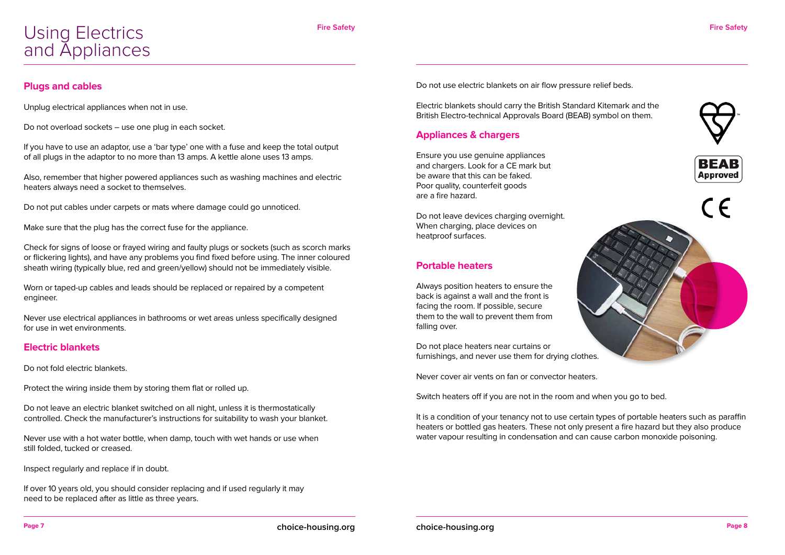



#### **Plugs and cables**

Unplug electrical appliances when not in use.

Do not overload sockets – use one plug in each socket.

If you have to use an adaptor, use a 'bar type' one with a fuse and keep the total output of all plugs in the adaptor to no more than 13 amps. A kettle alone uses 13 amps.

Also, remember that higher powered appliances such as washing machines and electric heaters always need a socket to themselves.

Do not put cables under carpets or mats where damage could go unnoticed.

Make sure that the plug has the correct fuse for the appliance.

Check for signs of loose or frayed wiring and faulty plugs or sockets (such as scorch marks or flickering lights), and have any problems you find fixed before using. The inner coloured sheath wiring (typically blue, red and green/yellow) should not be immediately visible.

Worn or taped-up cables and leads should be replaced or repaired by a competent engineer.

Never use electrical appliances in bathrooms or wet areas unless specifically designed for use in wet environments.

#### **Electric blankets**

Do not fold electric blankets.

Protect the wiring inside them by storing them flat or rolled up.

Do not leave an electric blanket switched on all night, unless it is thermostatically controlled. Check the manufacturer's instructions for suitability to wash your blanket.

Never use with a hot water bottle, when damp, touch with wet hands or use when still folded, tucked or creased.

Inspect regularly and replace if in doubt.

If over 10 years old, you should consider replacing and if used regularly it may need to be replaced after as little as three years.

Do not use electric blankets on air flow pressure relief beds.

Electric blankets should carry the British Standard Kitemark and the British Electro-technical Approvals Board (BEAB) symbol on them.

#### **Appliances & chargers**

Ensure you use genuine appliances and chargers. Look for a CE mark but be aware that this can be faked. Poor quality, counterfeit goods are a fire hazard.

Do not leave devices charging overnight. When charging, place devices on heatproof surfaces.

#### **Portable heaters**

Always position heaters to ensure the back is against a wall and the front is facing the room. If possible, secure them to the wall to prevent them from falling over.

Do not place heaters near curtains or furnishings, and never use them for drying clothes.

Never cover air vents on fan or convector heaters.

Switch heaters off if you are not in the room and when you go to bed.

It is a condition of your tenancy not to use certain types of portable heaters such as paraffin heaters or bottled gas heaters. These not only present a fire hazard but they also produce water vapour resulting in condensation and can cause carbon monoxide poisoning.

### Using Electrics and Appliances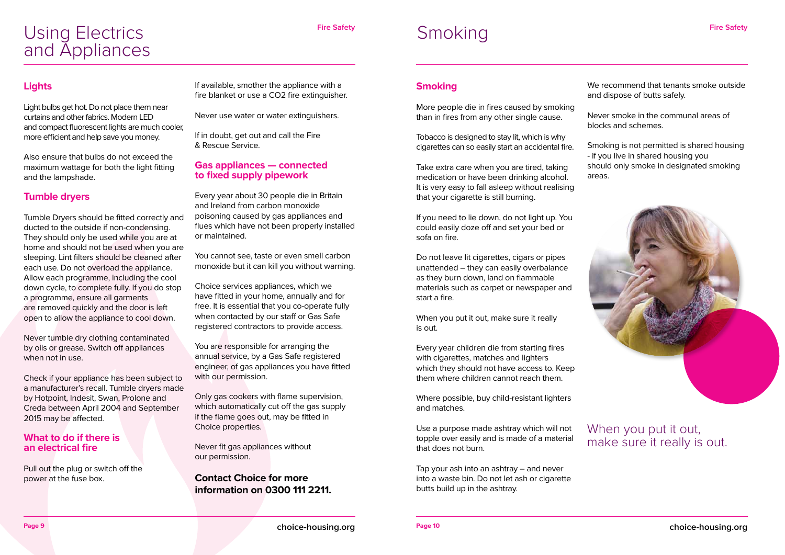#### **Smoking**

More people die in fires caused by smoking than in fires from any other single cause.

Tobacco is designed to stay lit, which is why cigarettes can so easily start an accidental fire.

Take extra care when you are tired, taking medication or have been drinking alcohol. It is very easy to fall asleep without realising that your cigarette is still burning.

If you need to lie down, do not light up. You could easily doze off and set your bed or sofa on fire.

Do not leave lit cigarettes, cigars or pipes unattended – they can easily overbalance as they burn down, land on flammable materials such as carpet or newspaper and start a fire.

When you put it out, make sure it really is out.

Every year children die from starting fires with cigarettes, matches and lighters which they should not have access to. Keep them where children cannot reach them.

Where possible, buy child-resistant lighters and matches.

Use a purpose made ashtray which will not topple over easily and is made of a material that does not burn.

Tap your ash into an ashtray – and never into a waste bin. Do not let ash or cigarette butts build up in the ashtray.

We recommend that tenants smoke outside and dispose of butts safely.

Never smoke in the communal areas of blocks and schemes.

Smoking is not permitted is shared housing - if you live in shared housing you should only smoke in designated smoking areas.



**Fire Safety** 

**Page 9 choice-housing.org**

#### **Lights**

Light bulbs get hot. Do not place them near curtains and other fabrics. Modern LED and compact fluorescent lights are much cooler, more efficient and help save you money.

Also ensure that bulbs do not exceed the maximum wattage for both the light fitting and the lampshade.

#### **Tumble dryers**

Tumble Dryers should be fitted correctly and ducted to the outside if non-condensing. They should only be used while you are at home and should not be used when you are sleeping. Lint filters should be cleaned after each use. Do not overload the appliance. Allow each programme, including the cool down cycle, to complete fully. If you do stop a programme, ensure all garments are removed quickly and the door is left open to allow the appliance to cool down.

Never tumble dry clothing contaminated by oils or grease. Switch off appliances when not in use.

Check if your appliance has been subject to a manufacturer's recall. Tumble dryers made by Hotpoint, Indesit, Swan, Prolone and Creda between April 2004 and September 2015 may be affected.

#### **What to do if there is an electrical fire**

Pull out the plug or switch off the power at the fuse box.

If available, smother the appliance with a fire blanket or use a CO2 fire extinguisher.

Never use water or water extinguishers.

If in doubt, get out and call the Fire & Rescue Service.

#### **Gas appliances — connected to fixed supply pipework**

Every year about 30 people die in Britain and Ireland from carbon monoxide poisoning caused by gas appliances and flues which have not been properly installed or maintained.

You cannot see, taste or even smell carbon monoxide but it can kill you without warning.

Choice services appliances, which we have fitted in your home, annually and for free. It is essential that you co-operate fully when contacted by our staff or Gas Safe registered contractors to provide access.

You are responsible for arranging the annual service, by a Gas Safe registered engineer, of gas appliances you have fitted with our permission.

Only gas cookers with flame supervision, which automatically cut off the gas supply if the flame goes out, may be fitted in Choice properties.

Never fit gas appliances without our permission.

#### **Contact Choice for more information on 0300 111 2211.**

### Using Electrics and Appliances

## Smoking

### When you put it out, make sure it really is out.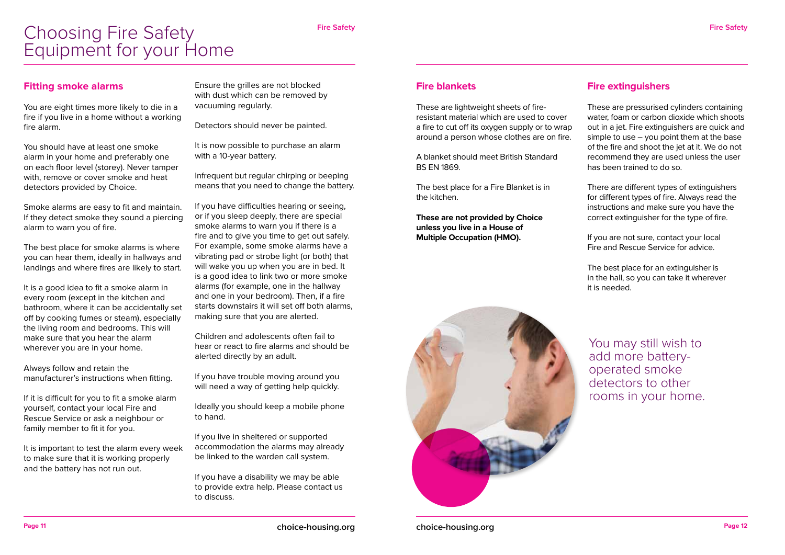**choice-housing.org Page 12**

#### **Fitting smoke alarms**

You are eight times more likely to die in a fire if you live in a home without a working fire alarm.

You should have at least one smoke alarm in your home and preferably one on each floor level (storey). Never tamper with, remove or cover smoke and heat detectors provided by Choice.

Smoke alarms are easy to fit and maintain. If they detect smoke they sound a piercing alarm to warn you of fire.

The best place for smoke alarms is where you can hear them, ideally in hallways and landings and where fires are likely to start.

It is a good idea to fit a smoke alarm in every room (except in the kitchen and bathroom, where it can be accidentally set off by cooking fumes or steam), especially the living room and bedrooms. This will make sure that you hear the alarm wherever you are in your home.

Always follow and retain the manufacturer's instructions when fitting.

If it is difficult for you to fit a smoke alarm yourself, contact your local Fire and Rescue Service or ask a neighbour or family member to fit it for you.

If you have trouble moving around you will need a way of getting help quickly.

It is important to test the alarm every week to make sure that it is working properly and the battery has not run out.

Ensure the grilles are not blocked with dust which can be removed by vacuuming regularly.

Detectors should never be painted.

It is now possible to purchase an alarm with a 10-year battery.

Infrequent but regular chirping or beeping means that you need to change the battery.

If you have difficulties hearing or seeing, or if you sleep deeply, there are special smoke alarms to warn you if there is a fire and to give you time to get out safely. For example, some smoke alarms have a vibrating pad or strobe light (or both) that will wake you up when you are in bed. It is a good idea to link two or more smoke alarms (for example, one in the hallway and one in your bedroom). Then, if a fire starts downstairs it will set off both alarms, making sure that you are alerted.

Children and adolescents often fail to hear or react to fire alarms and should be alerted directly by an adult.

Ideally you should keep a mobile phone to hand.

If you live in sheltered or supported accommodation the alarms may already be linked to the warden call system.

If you have a disability we may be able to provide extra help. Please contact us to discuss.

#### **Fire blankets**

These are lightweight sheets of fireresistant material which are used to cover a fire to cut off its oxygen supply or to wrap around a person whose clothes are on fire.

A blanket should meet British Standard BS EN 1869.

The best place for a Fire Blanket is in the kitchen.

**These are not provided by Choice unless you live in a House of Multiple Occupation (HMO).**



#### **Fire extinguishers**

These are pressurised cylinders containing water, foam or carbon dioxide which shoots out in a jet. Fire extinguishers are quick and simple to use  $-$  you point them at the base of the fire and shoot the jet at it. We do not recommend they are used unless the user has been trained to do so.

There are different types of extinguishers for different types of fire. Always read the instructions and make sure you have the correct extinguisher for the type of fire.

If you are not sure, contact your local Fire and Rescue Service for advice.

The best place for an extinguisher is in the hall, so you can take it wherever it is needed.

### Choosing Fire Safety Equipment for your Home

You may still wish to add more batteryoperated smoke detectors to other rooms in your home.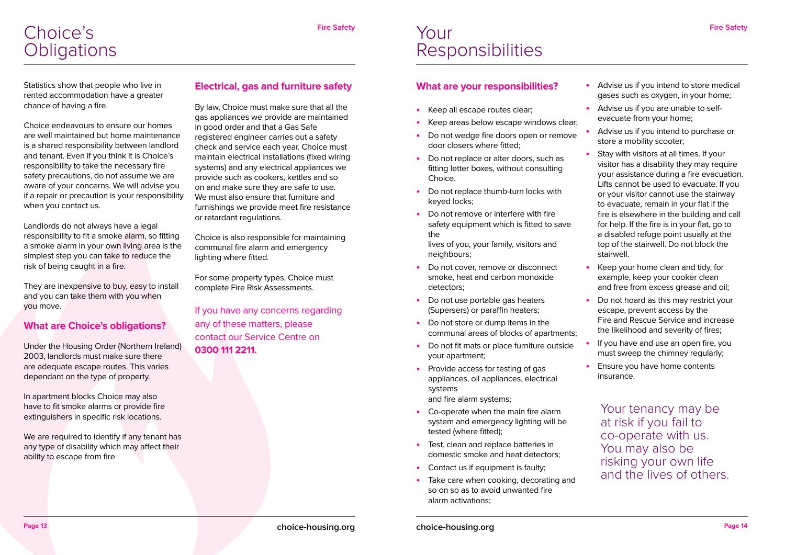Statistics show that people who live in rented accommodation have a greater chance of having a fire.

Choice endeavours to ensure our homes are well maintained but home maintenance is a shared responsibility between landlord and tenant. Even if you think it is Choice's responsibility to take the necessary fire safety precautions, do not assume we are aware of your concerns. We will advise you if a repair or precaution is your responsibility when you contact us.

We are required to identify if any tenant has any type of disability which may affect their ability to escape from fire

Landlords do not always have a legal responsibility to fit a smoke alarm, so fitting a smoke alarm in your own living area is the simplest step you can take to reduce the risk of being caught in a fire.

They are inexpensive to buy, easy to install and you can take them with you when you move.

#### **What are Choice's obligations?**

Under the Housing Order (Northern Ireland) 2003, landlords must make sure there are adequate escape routes. This varies dependant on the type of property.

In apartment blocks Choice may also have to fit smoke alarms or provide fire extinguishers in specific risk locations.

- **Keep all escape routes clear;**
- Keep areas below escape windows clear;
- Do not wedge fire doors open or remove door closers where fitted;
- **Do not replace or alter doors, such as** fitting letter boxes, without consulting Choice.
- Do not replace thumb-turn locks with keyed locks;
- Do not remove or interfere with fire safety equipment which is fitted to save the

#### **Electrical, gas and furniture safety**

By law, Choice must make sure that all the gas appliances we provide are maintained in good order and that a Gas Safe registered engineer carries out a safety check and service each year. Choice must maintain electrical installations (fixed wiring systems) and any electrical appliances we provide such as cookers, kettles and so on and make sure they are safe to use. We must also ensure that furniture and furnishings we provide meet fire resistance or retardant regulations.

- Do not cover, remove or disconnect smoke, heat and carbon monoxide detectors;
- **Po not use portable gas heaters** (Supersers) or paraffin heaters;
- **•**  Do not store or dump items in the communal areas of blocks of apartments;
- **Po not fit mats or place furniture outside** your apartment;
- **Provide access for testing of gas** appliances, oil appliances, electrical systems and fire alarm systems;
- **Co-operate when the main fire alarm** system and emergency lighting will be tested (where fitted);
- Test, clean and replace batteries in domestic smoke and heat detectors;
- Contact us if equipment is faulty;
- Take care when cooking, decorating and so on so as to avoid unwanted fire alarm activations;

Advise us if you are unable to selfevacuate from your home;

Advise us if you intend to purchase or store a mobility scooter;

Choice is also responsible for maintaining communal fire alarm and emergency lighting where fitted.

For some property types, Choice must complete Fire Risk Assessments.

**Stay with visitors at all times. If your** visitor has a disability they may require your assistance during a fire evacuation. Lifts cannot be used to evacuate. If you or your visitor cannot use the stairway to evacuate, remain in your flat if the fire is elsewhere in the building and call for help. If the fire is in your flat, go to a disabled refuge point usually at the top of the stairwell. Do not block the stairwell.

**Keep your home clean and tidy, for** example, keep your cooker clean and free from excess grease and oil;

If you have any concerns regarding any of these matters, please contact our Service Centre on **0300 111 2211.**

#### **What are your responsibilities?**

If you have and use an open fire, you must sweep the chimney regularly;

**Ensure you have home contents** insurance.

### Your **Responsibilities**

lives of you, your family, visitors and neighbours;

**•**  Advise us if you intend to store medical gases such as oxygen, in your home;

**•**  Do not hoard as this may restrict your escape, prevent access by the Fire and Rescue Service and increase the likelihood and severity of fires;

Your tenancy may be at risk if you fail to co-operate with us. You may also be risking your own life and the lives of others.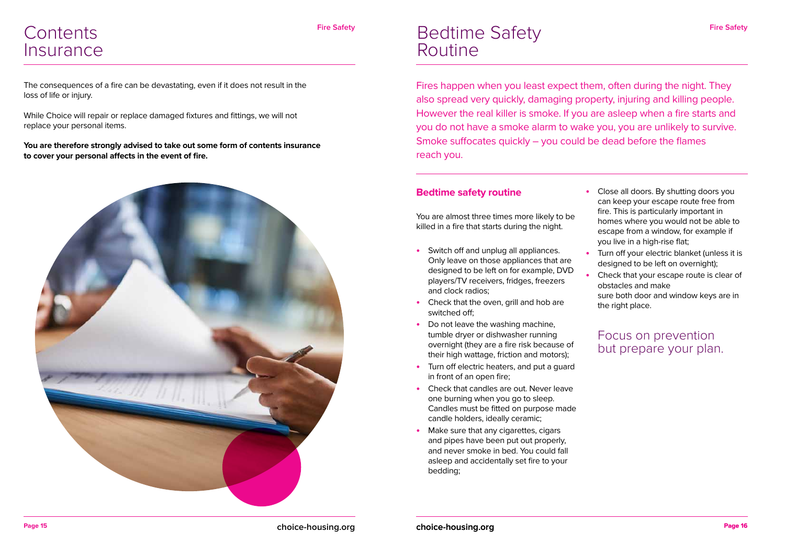### **Contents Insurance**

The consequences of a fire can be devastating, even if it does not result in the loss of life or injury.

While Choice will repair or replace damaged fixtures and fittings, we will not replace your personal items.

**You are therefore strongly advised to take out some form of contents insurance to cover your personal affects in the event of fire.** 



#### **Bedtime safety routine**

You are almost three times more likely to be killed in a fire that starts during the night.

- **Close all doors. By shutting doors you** can keep your escape route free from fire. This is particularly important in homes where you would not be able to escape from a window, for example if you live in a high-rise flat;
- **•**  Turn off your electric blanket (unless it is designed to be left on overnight);
	- Check that your escape route is clear of obstacles and make
	- sure both door and window keys are in the right place.
- **•**  Switch off and unplug all appliances. Only leave on those appliances that are designed to be left on for example, DVD players/TV receivers, fridges, freezers and clock radios;
- Check that the oven, grill and hob are switched off;
- Do not leave the washing machine, tumble dryer or dishwasher running overnight (they are a fire risk because of their high wattage, friction and motors);
- Turn off electric heaters, and put a quard in front of an open fire;
- **•**  Check that candles are out. Never leave one burning when you go to sleep. Candles must be fitted on purpose made candle holders, ideally ceramic;
- **Make sure that any cigarettes, cigars** and pipes have been put out properly, and never smoke in bed. You could fall asleep and accidentally set fire to your bedding;

Fires happen when you least expect them, often during the night. They also spread very quickly, damaging property, injuring and killing people. However the real killer is smoke. If you are asleep when a fire starts and you do not have a smoke alarm to wake you, you are unlikely to survive. Smoke suffocates quickly – you could be dead before the flames reach you.

### Bedtime Safety Routine

Focus on prevention but prepare your plan.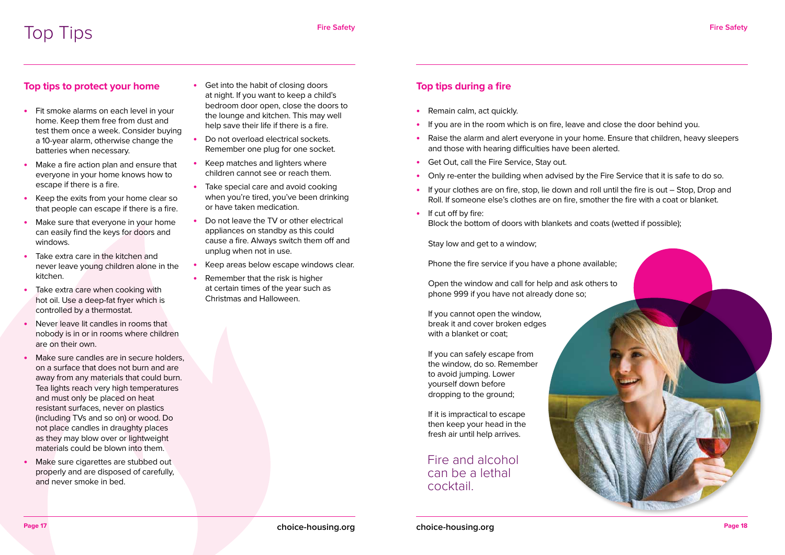

#### **Top tips to protect your home**

- Fit smoke alarms on each level in your home. Keep them free from dust and test them once a week. Consider buying a 10-year alarm, otherwise change the batteries when necessary.
- **•**  Make a fire action plan and ensure that everyone in your home knows how to escape if there is a fire.
- **•**  Keep the exits from your home clear so that people can escape if there is a fire.
- Make sure that everyone in your home can easily find the keys for doors and windows.
- Take extra care in the kitchen and never leave young children alone in the kitchen.
- Take extra care when cooking with hot oil. Use a deep-fat fryer which is controlled by a thermostat.
- **Never leave lit candles in rooms that** nobody is in or in rooms where children are on their own.
- **Make sure candles are in secure holders,** on a surface that does not burn and are away from any materials that could burn. Tea lights reach very high temperatures and must only be placed on heat resistant surfaces, never on plastics (including TVs and so on) or wood. Do not place candles in draughty places as they may blow over or lightweight materials could be blown into them.
- **Make sure cigarettes are stubbed out** properly and are disposed of carefully, and never smoke in bed.
- **Get into the habit of closing doors** at night. If you want to keep a child's bedroom door open, close the doors to the lounge and kitchen. This may well help save their life if there is a fire.
- Do not overload electrical sockets. Remember one plug for one socket.
- **Keep matches and lighters where** children cannot see or reach them.
- **•**  Take special care and avoid cooking when you're tired, you've been drinking or have taken medication.
- **Do not leave the TV or other electrical** appliances on standby as this could cause a fire. Always switch them off and unplug when not in use.
- Keep areas below escape windows clear.
- **Remember that the risk is higher** at certain times of the year such as Christmas and Halloween.

#### **Top tips during a fire**

- **•**  Remain calm, act quickly.
- If you are in the room which is on fire, leave and close the door behind you.
- Raise the alarm and alert everyone in your home. Ensure that children, heavy sleepers and those with hearing difficulties have been alerted.
- **•**  Get Out, call the Fire Service, Stay out.
- Only re-enter the building when advised by the Fire Service that it is safe to do so.
- **•**  If your clothes are on fire, stop, lie down and roll until the fire is out Stop, Drop and Roll. If someone else's clothes are on fire, smother the fire with a coat or blanket.
- **•**  If cut off by fire: Block the bottom of doors with blankets and coats (wetted if possible);

Stay low and get to a window;

Phone the fire service if you have a phone available;

Open the window and call for help and ask others to phone 999 if you have not already done so;

If you cannot open the window, break it and cover broken edges with a blanket or coat;

If you can safely escape from the window, do so. Remember to avoid jumping. Lower yourself down before dropping to the ground;

If it is impractical to escape then keep your head in the fresh air until help arrives.

Fire and alcohol can be a lethal cocktail.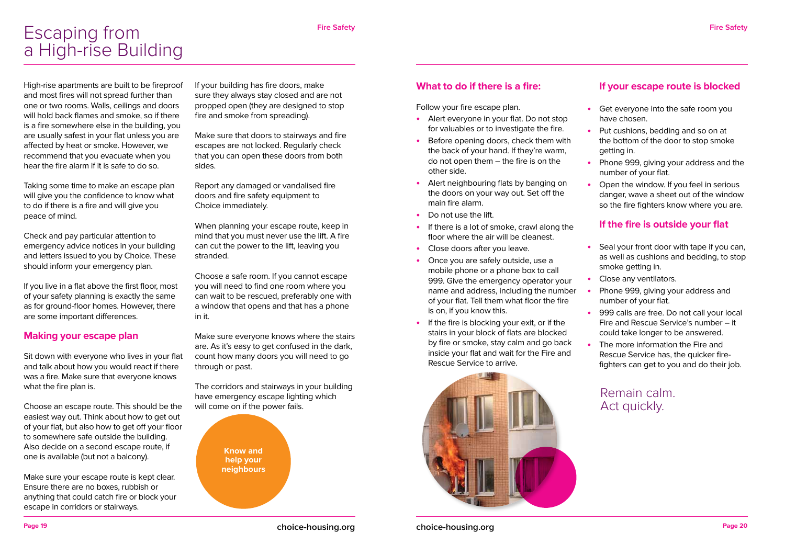**Page 19 choice-housing.org**

**choice-housing.org Page 20** 

High-rise apartments are built to be fireproof and most fires will not spread further than one or two rooms. Walls, ceilings and doors will hold back flames and smoke, so if there is a fire somewhere else in the building, you are usually safest in your flat unless you are affected by heat or smoke. However, we recommend that you evacuate when you hear the fire alarm if it is safe to do so.

Taking some time to make an escape plan will give you the confidence to know what to do if there is a fire and will give you peace of mind.

Check and pay particular attention to emergency advice notices in your building and letters issued to you by Choice. These should inform your emergency plan.

If you live in a flat above the first floor, most of your safety planning is exactly the same as for ground-floor homes. However, there are some important differences.

#### **Making your escape plan**

Sit down with everyone who lives in your flat and talk about how you would react if there was a fire. Make sure that everyone knows what the fire plan is.

Choose an escape route. This should be the easiest way out. Think about how to get out of your flat, but also how to get off your floor to somewhere safe outside the building. Also decide on a second escape route, if one is available (but not a balcony).

Make sure your escape route is kept clear. Ensure there are no boxes, rubbish or anything that could catch fire or block your escape in corridors or stairways.

If your building has fire doors, make sure they always stay closed and are not propped open (they are designed to stop fire and smoke from spreading).

Make sure that doors to stairways and fire escapes are not locked. Regularly check that you can open these doors from both sides.

Report any damaged or vandalised fire doors and fire safety equipment to Choice immediately.

When planning your escape route, keep in mind that you must never use the lift. A fire can cut the power to the lift, leaving you stranded.

> **Phone 999, giving your address and** number of your flat.

Choose a safe room. If you cannot escape you will need to find one room where you can wait to be rescued, preferably one with a window that opens and that has a phone in it.

Make sure everyone knows where the stairs are. As it's easy to get confused in the dark, count how many doors you will need to go through or past.

The corridors and stairways in your building have emergency escape lighting which will come on if the power fails.

#### **What to do if there is a fire:**

Follow your fire escape plan.

- **•**  Alert everyone in your flat. Do not stop for valuables or to investigate the fire.
- **Before opening doors, check them with** the back of your hand. If they're warm, do not open them – the fire is on the other side.
- Alert neighbouring flats by banging on the doors on your way out. Set off the main fire alarm.
- Do not use the lift.
- **•**  If there is a lot of smoke, crawl along the floor where the air will be cleanest.
- **•**  Close doors after you leave.
- Once you are safely outside, use a mobile phone or a phone box to call 999. Give the emergency operator your name and address, including the number of your flat. Tell them what floor the fire is on, if you know this.
- If the fire is blocking your exit, or if the stairs in your block of flats are blocked by fire or smoke, stay calm and go back inside your flat and wait for the Fire and Rescue Service to arrive.



#### **If your escape route is blocked**

**•**  Get everyone into the safe room you have chosen.

**•**  Put cushions, bedding and so on at the bottom of the door to stop smoke getting in.

**•**  Phone 999, giving your address and the number of your flat.

**•**  Open the window. If you feel in serious danger, wave a sheet out of the window so the fire fighters know where you are.

#### **If the fire is outside your flat**

**•**  Seal your front door with tape if you can, as well as cushions and bedding, to stop smoke getting in.

**Close any ventilators.** 

**•**  999 calls are free. Do not call your local Fire and Rescue Service's number – it could take longer to be answered.

**•**  The more information the Fire and Rescue Service has, the quicker firefighters can get to you and do their job.

**Know and help your neighbours**

### Escaping from a High-rise Building

Remain calm. Act quickly.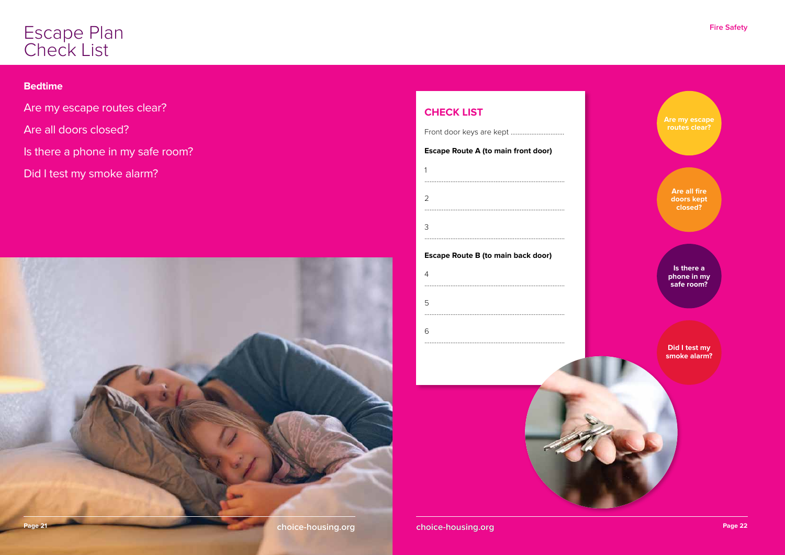



**Are my escape routes clear?**

> **Are all fire doors kept closed?**

**Is there a phone in my safe room?**

#### **Did I test my smoke alarm?**

#### **CHECK LIST**

Front door keys are kept ............................... **Escape Route A (to main front door)**

#### **Escape Route B (to main back door)**

| 5 |  |
|---|--|
|   |  |
| 6 |  |
|   |  |



#### **Bedtime**

- Are my escape routes clear?
- Are all doors closed?
- Is there a phone in my safe room?
- Did I test my smoke alarm?

### Escape Plan Check List